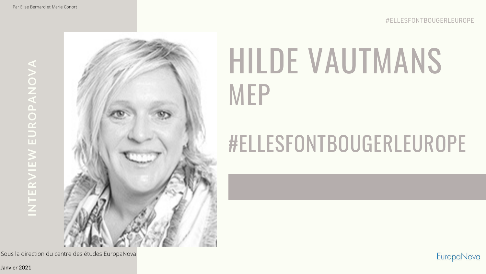## HILDE VAUTMANS

EuropaNova

# MEP

### #ELLESFONTBOUGERLEUROPE

INTERVIEW EUROPANOVA **INTERVIEW EUROPANOVA**



Janvier 2021

Sous la direction du centre des études EuropaNova

#ELLESFONTBOUGERLEUROPE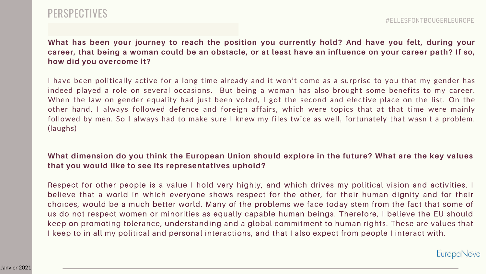#### PERSPECTIVES

**What has been your journey to reach the position you currently hold? And have you felt, during your career, that being a woman could be an obstacle, or at least have an influence on your career path? If so, how did you overcome it?** 

I have been politically active for a long time already and it won't come as a surprise to you that my gender has indeed played a role on several occasions. But being a woman has also brought some benefits to my career. When the law on gender equality had just been voted, I got the second and elective place on the list. On the other hand, I always followed defence and foreign affairs, which were topics that at that time were mainly followed by men. So I always had to make sure I knew my files twice as well, fortunately that wasn't a problem. (laughs)

#### **What dimension do you think the European Union should explore in the future? What are the key values that you would like to see its representatives uphold?**

Respect for other people is a value I hold very highly, and which drives my political vision and activities. I believe that a world in which everyone shows respect for the other, for their human dignity and for their choices, would be a much better world. Many of the problems we face today stem from the fact that some of us do not respect women or minorities as equally capable human beings. Therefore, I believe the EU should keep on promoting tolerance, understanding and a global commitment to human rights. These are values that I keep to in all my political and personal interactions, and that I also expect from people I interact with.

EuropaNova